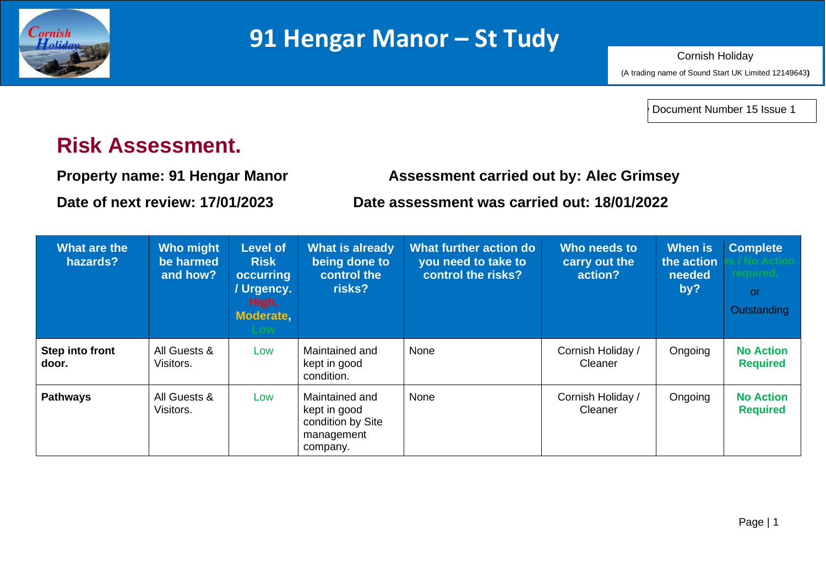

Document Number 15 Issue 1

## **Risk Assessment.**

**Property name: 91 Hengar Manor Assessment carried out by: Alec Grimsey**

**Date of next review: 17/01/2023 Date assessment was carried out: 18/01/2022**

| What are the<br>hazards? | <b>Who might</b><br>be harmed<br>and how? | <b>Level of</b><br><b>Risk</b><br>occurring<br>/ Urgency.<br>High,<br><b>Moderate</b> | <b>What is already</b><br>being done to<br>control the<br>risks?              | What further action do<br>you need to take to<br>control the risks? | Who needs to<br>carry out the<br>action? | <b>When is</b><br>the action<br>needed<br>by? | <b>Complete</b><br><b>or</b><br>Outstanding |
|--------------------------|-------------------------------------------|---------------------------------------------------------------------------------------|-------------------------------------------------------------------------------|---------------------------------------------------------------------|------------------------------------------|-----------------------------------------------|---------------------------------------------|
| Step into front<br>door. | All Guests &<br>Visitors.                 | Low                                                                                   | Maintained and<br>kept in good<br>condition.                                  | None                                                                | Cornish Holiday /<br>Cleaner             | Ongoing                                       | <b>No Action</b><br><b>Required</b>         |
| <b>Pathways</b>          | All Guests &<br>Visitors.                 | Low                                                                                   | Maintained and<br>kept in good<br>condition by Site<br>management<br>company. | None                                                                | Cornish Holiday /<br>Cleaner             | Ongoing                                       | <b>No Action</b><br><b>Required</b>         |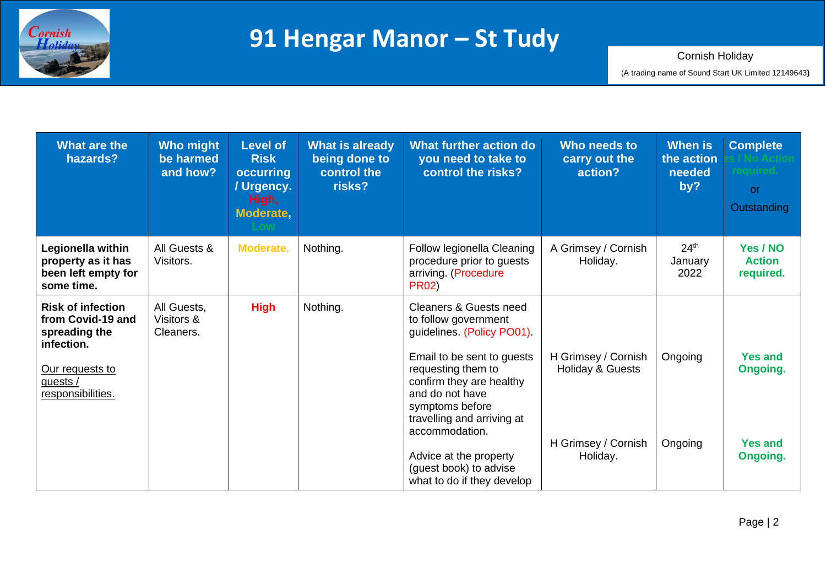

| <b>What are the</b><br>hazards?                                                                                                  | <b>Who might</b><br>be harmed<br>and how? | <b>Level of</b><br><b>Risk</b><br><b>occurring</b><br>/ Urgency.<br>High,<br>Moderate, | <b>What is already</b><br>being done to<br>control the<br>risks? | What further action do<br>you need to take to<br>control the risks?                                                                                                                                                                                                                                                                             | Who needs to<br>carry out the<br>action?                                              | <b>When</b> is<br>the action<br>needed<br>by? | <b>Complete</b><br>reauired.<br>or.<br>Outstanding       |
|----------------------------------------------------------------------------------------------------------------------------------|-------------------------------------------|----------------------------------------------------------------------------------------|------------------------------------------------------------------|-------------------------------------------------------------------------------------------------------------------------------------------------------------------------------------------------------------------------------------------------------------------------------------------------------------------------------------------------|---------------------------------------------------------------------------------------|-----------------------------------------------|----------------------------------------------------------|
| Legionella within<br>property as it has<br>been left empty for<br>some time.                                                     | All Guests &<br>Visitors.                 | Moderate.                                                                              | Nothing.                                                         | Follow legionella Cleaning<br>procedure prior to guests<br>arriving. (Procedure<br><b>PR02)</b>                                                                                                                                                                                                                                                 | A Grimsey / Cornish<br>Holiday.                                                       | 24 <sup>th</sup><br>January<br>2022           | Yes / NO<br><b>Action</b><br>required.                   |
| <b>Risk of infection</b><br>from Covid-19 and<br>spreading the<br>infection.<br>Our requests to<br>guests /<br>responsibilities. | All Guests,<br>Visitors &<br>Cleaners.    | <b>High</b>                                                                            | Nothing.                                                         | <b>Cleaners &amp; Guests need</b><br>to follow government<br>guidelines. (Policy PO01).<br>Email to be sent to guests<br>requesting them to<br>confirm they are healthy<br>and do not have<br>symptoms before<br>travelling and arriving at<br>accommodation.<br>Advice at the property<br>(guest book) to advise<br>what to do if they develop | H Grimsey / Cornish<br><b>Holiday &amp; Guests</b><br>H Grimsey / Cornish<br>Holiday. | Ongoing<br>Ongoing                            | <b>Yes and</b><br>Ongoing.<br><b>Yes and</b><br>Ongoing. |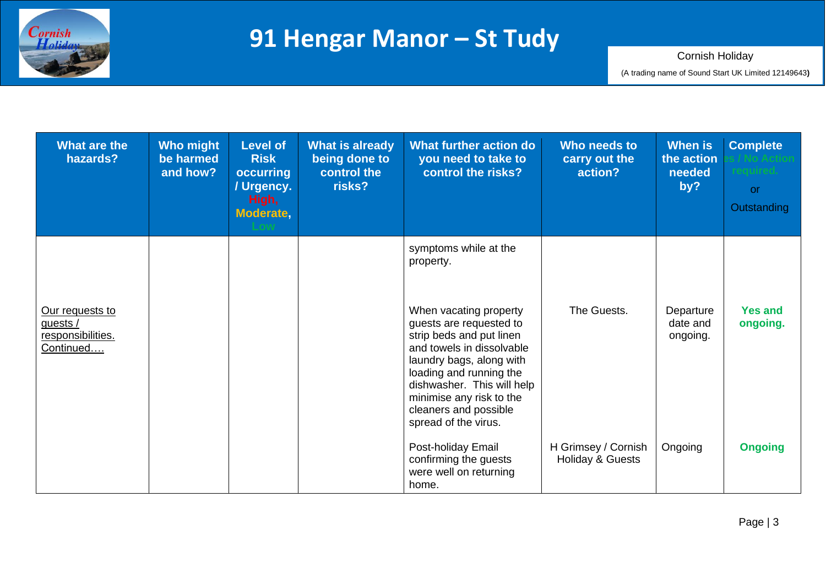

| What are the<br>hazards?                                        | <b>Who might</b><br>be harmed<br>and how? | <b>Level of</b><br><b>Risk</b><br>occurring<br>/ Urgency.<br>High,<br>Moderate, | <b>What is already</b><br>being done to<br>control the<br>risks? | What further action do<br>you need to take to<br>control the risks?                                                                                                                                                                                                                                                | Who needs to<br>carry out the<br>action? | <b>When</b> is<br>the action<br>needed<br>by? | <b>Complete</b><br>eauired.<br>or<br>Outstanding |
|-----------------------------------------------------------------|-------------------------------------------|---------------------------------------------------------------------------------|------------------------------------------------------------------|--------------------------------------------------------------------------------------------------------------------------------------------------------------------------------------------------------------------------------------------------------------------------------------------------------------------|------------------------------------------|-----------------------------------------------|--------------------------------------------------|
| Our requests to<br>guests $/$<br>responsibilities.<br>Continued |                                           |                                                                                 |                                                                  | symptoms while at the<br>property.<br>When vacating property<br>guests are requested to<br>strip beds and put linen<br>and towels in dissolvable<br>laundry bags, along with<br>loading and running the<br>dishwasher. This will help<br>minimise any risk to the<br>cleaners and possible<br>spread of the virus. | The Guests.                              | Departure<br>date and<br>ongoing.             | <b>Yes and</b><br>ongoing.                       |
|                                                                 |                                           |                                                                                 |                                                                  | Post-holiday Email<br>confirming the guests<br>were well on returning<br>home.                                                                                                                                                                                                                                     | H Grimsey / Cornish<br>Holiday & Guests  | Ongoing                                       | <b>Ongoing</b>                                   |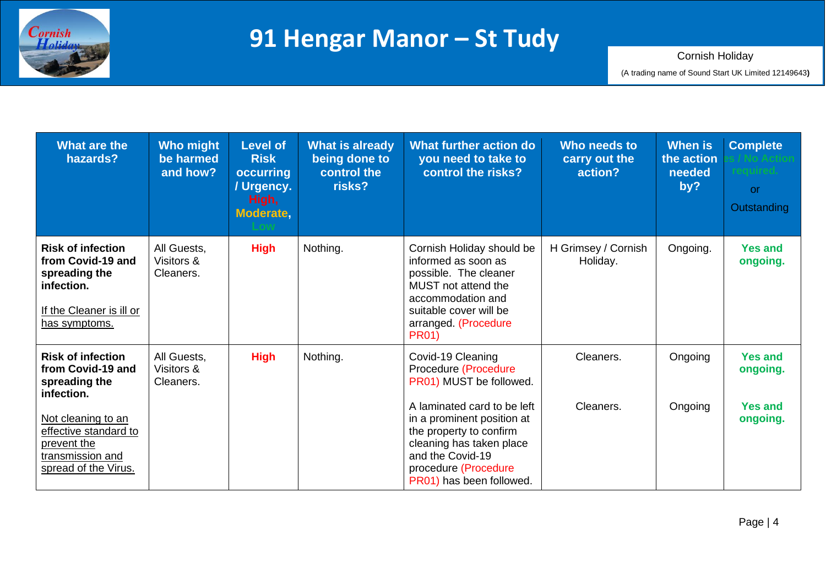

| What are the<br>hazards?                                                                                                                                                               | <b>Who might</b><br>be harmed<br>and how? | <b>Level of</b><br><b>Risk</b><br>occurring<br>/ Urgency.<br>High,<br>Moderate, | <b>What is already</b><br>being done to<br>control the<br>risks? | What further action do<br>you need to take to<br>control the risks?                                                                                                                                                                                              | Who needs to<br>carry out the<br>action? | When is<br>the action<br>needed<br>by? | <b>Complete</b><br>required.<br><b>or</b><br>Outstanding |
|----------------------------------------------------------------------------------------------------------------------------------------------------------------------------------------|-------------------------------------------|---------------------------------------------------------------------------------|------------------------------------------------------------------|------------------------------------------------------------------------------------------------------------------------------------------------------------------------------------------------------------------------------------------------------------------|------------------------------------------|----------------------------------------|----------------------------------------------------------|
| <b>Risk of infection</b><br>from Covid-19 and<br>spreading the<br>infection.<br>If the Cleaner is ill or<br>has symptoms.                                                              | All Guests,<br>Visitors &<br>Cleaners.    | <b>High</b>                                                                     | Nothing.                                                         | Cornish Holiday should be<br>informed as soon as<br>possible. The cleaner<br>MUST not attend the<br>accommodation and<br>suitable cover will be<br>arranged (Procedure<br><b>PR01)</b>                                                                           | H Grimsey / Cornish<br>Holiday.          | Ongoing.                               | <b>Yes and</b><br>ongoing.                               |
| <b>Risk of infection</b><br>from Covid-19 and<br>spreading the<br>infection.<br>Not cleaning to an<br>effective standard to<br>prevent the<br>transmission and<br>spread of the Virus. | All Guests,<br>Visitors &<br>Cleaners.    | <b>High</b>                                                                     | Nothing.                                                         | Covid-19 Cleaning<br>Procedure (Procedure<br>PR01) MUST be followed.<br>A laminated card to be left<br>in a prominent position at<br>the property to confirm<br>cleaning has taken place<br>and the Covid-19<br>procedure (Procedure<br>PR01) has been followed. | Cleaners.<br>Cleaners.                   | Ongoing<br>Ongoing                     | <b>Yes and</b><br>ongoing.<br><b>Yes and</b><br>ongoing. |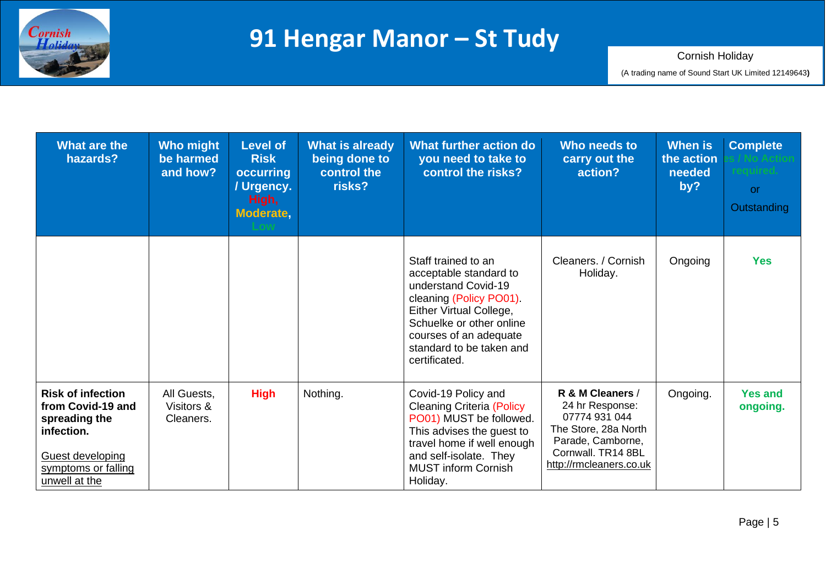

| <b>What are the</b><br>hazards?                                                                                                          | <b>Who might</b><br>be harmed<br>and how? | <b>Level of</b><br><b>Risk</b><br>occurring<br>/ Urgency.<br>High,<br>Moderate, | <b>What is already</b><br>being done to<br>control the<br>risks? | What further action do<br>you need to take to<br>control the risks?                                                                                                                                                           | Who needs to<br>carry out the<br>action?                                                                                                           | <b>When is</b><br>the action<br>needed<br>by? | <b>Complete</b><br>or.<br>Outstanding |
|------------------------------------------------------------------------------------------------------------------------------------------|-------------------------------------------|---------------------------------------------------------------------------------|------------------------------------------------------------------|-------------------------------------------------------------------------------------------------------------------------------------------------------------------------------------------------------------------------------|----------------------------------------------------------------------------------------------------------------------------------------------------|-----------------------------------------------|---------------------------------------|
|                                                                                                                                          |                                           |                                                                                 |                                                                  | Staff trained to an<br>acceptable standard to<br>understand Covid-19<br>cleaning (Policy PO01).<br>Either Virtual College,<br>Schuelke or other online<br>courses of an adequate<br>standard to be taken and<br>certificated. | Cleaners. / Cornish<br>Holiday.                                                                                                                    | Ongoing                                       | <b>Yes</b>                            |
| <b>Risk of infection</b><br>from Covid-19 and<br>spreading the<br>infection.<br>Guest developing<br>symptoms or falling<br>unwell at the | All Guests,<br>Visitors &<br>Cleaners.    | <b>High</b>                                                                     | Nothing.                                                         | Covid-19 Policy and<br><b>Cleaning Criteria (Policy</b><br>PO01) MUST be followed.<br>This advises the guest to<br>travel home if well enough<br>and self-isolate. They<br><b>MUST inform Cornish</b><br>Holiday.             | R & M Cleaners /<br>24 hr Response:<br>07774 931 044<br>The Store, 28a North<br>Parade, Camborne,<br>Cornwall, TR14 8BL<br>http://rmcleaners.co.uk | Ongoing.                                      | <b>Yes and</b><br>ongoing.            |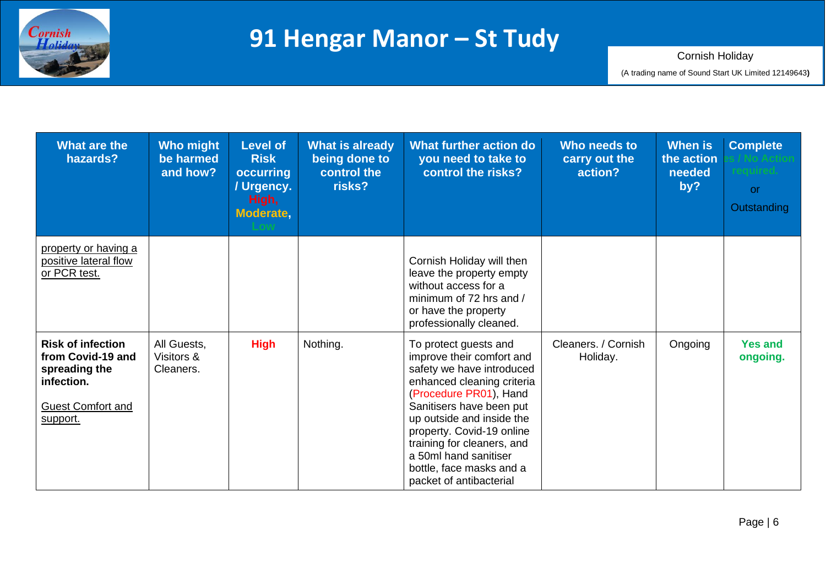

| What are the<br>hazards?                                                                                             | <b>Who might</b><br>be harmed<br>and how? | <b>Level of</b><br><b>Risk</b><br>occurring<br>/ Urgency.<br>High,<br>Moderate, | <b>What is already</b><br>being done to<br>control the<br>risks? | What further action do<br>you need to take to<br>control the risks?                                                                                                                                                                                                                                                                         | Who needs to<br>carry out the<br>action? | <b>When is</b><br>the action<br>needed<br>by? | <b>Complete</b><br><b>or</b><br>Outstanding |
|----------------------------------------------------------------------------------------------------------------------|-------------------------------------------|---------------------------------------------------------------------------------|------------------------------------------------------------------|---------------------------------------------------------------------------------------------------------------------------------------------------------------------------------------------------------------------------------------------------------------------------------------------------------------------------------------------|------------------------------------------|-----------------------------------------------|---------------------------------------------|
| property or having a<br>positive lateral flow<br>or PCR test.                                                        |                                           |                                                                                 |                                                                  | Cornish Holiday will then<br>leave the property empty<br>without access for a<br>minimum of 72 hrs and /<br>or have the property<br>professionally cleaned.                                                                                                                                                                                 |                                          |                                               |                                             |
| <b>Risk of infection</b><br>from Covid-19 and<br>spreading the<br>infection.<br><b>Guest Comfort and</b><br>support. | All Guests,<br>Visitors &<br>Cleaners.    | <b>High</b>                                                                     | Nothing.                                                         | To protect guests and<br>improve their comfort and<br>safety we have introduced<br>enhanced cleaning criteria<br>(Procedure PR01), Hand<br>Sanitisers have been put<br>up outside and inside the<br>property. Covid-19 online<br>training for cleaners, and<br>a 50ml hand sanitiser<br>bottle, face masks and a<br>packet of antibacterial | Cleaners. / Cornish<br>Holiday.          | Ongoing                                       | <b>Yes and</b><br>ongoing.                  |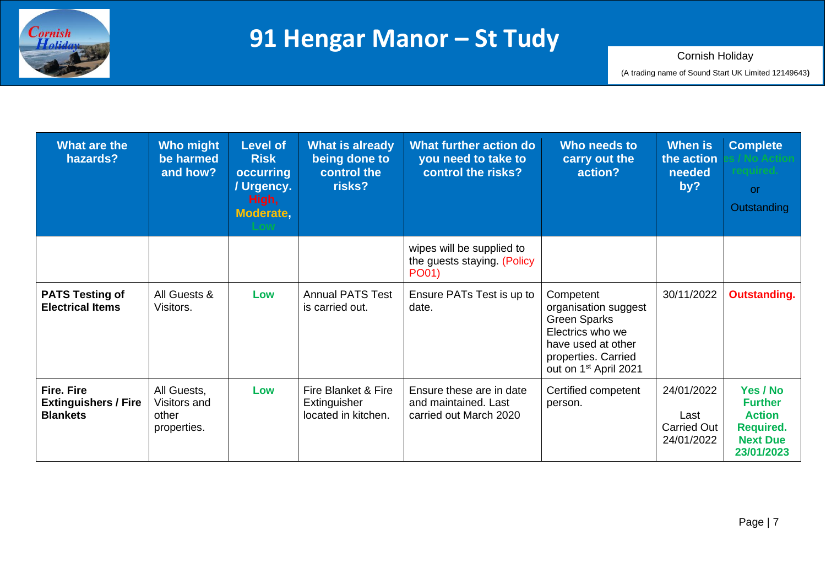

| What are the<br>hazards?                                            | <b>Who might</b><br>be harmed<br>and how?           | <b>Level of</b><br><b>Risk</b><br>occurring<br>/ Urgency.<br>High,<br>Moderate, | <b>What is already</b><br>being done to<br>control the<br>risks? | What further action do<br>you need to take to<br>control the risks?        | Who needs to<br>carry out the<br>action?                                                                                                                       | <b>When is</b><br>the action<br>needed<br>by?          | <b>Complete</b><br>reauired.<br><b>or</b><br>Outstanding                                         |
|---------------------------------------------------------------------|-----------------------------------------------------|---------------------------------------------------------------------------------|------------------------------------------------------------------|----------------------------------------------------------------------------|----------------------------------------------------------------------------------------------------------------------------------------------------------------|--------------------------------------------------------|--------------------------------------------------------------------------------------------------|
|                                                                     |                                                     |                                                                                 |                                                                  | wipes will be supplied to<br>the guests staying. (Policy<br>PO01)          |                                                                                                                                                                |                                                        |                                                                                                  |
| <b>PATS Testing of</b><br><b>Electrical Items</b>                   | All Guests &<br>Visitors.                           | Low                                                                             | <b>Annual PATS Test</b><br>is carried out.                       | Ensure PATs Test is up to<br>date.                                         | Competent<br>organisation suggest<br><b>Green Sparks</b><br>Electrics who we<br>have used at other<br>properties. Carried<br>out on 1 <sup>st</sup> April 2021 | 30/11/2022                                             | <b>Outstanding.</b>                                                                              |
| <b>Fire. Fire</b><br><b>Extinguishers / Fire</b><br><b>Blankets</b> | All Guests,<br>Visitors and<br>other<br>properties. | Low                                                                             | Fire Blanket & Fire<br>Extinguisher<br>located in kitchen.       | Ensure these are in date<br>and maintained. Last<br>carried out March 2020 | Certified competent<br>person.                                                                                                                                 | 24/01/2022<br>Last<br><b>Carried Out</b><br>24/01/2022 | Yes / No<br><b>Further</b><br><b>Action</b><br><b>Required.</b><br><b>Next Due</b><br>23/01/2023 |